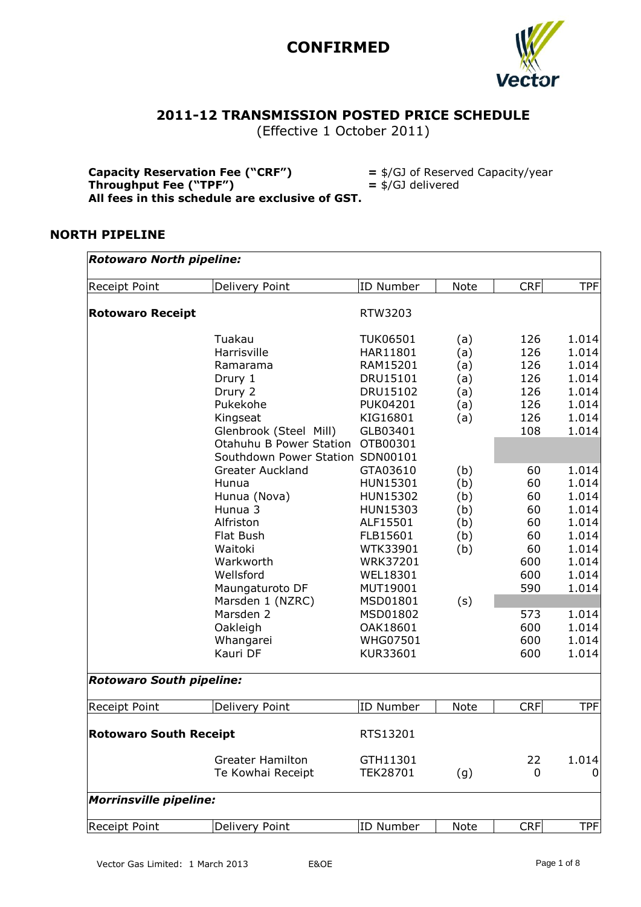

### **2011-12 TRANSMISSION POSTED PRICE SCHEDULE**

(Effective 1 October 2011)

| <b>Capacity Reservation Fee ("CRF")</b>         | $=$ \$/GJ of Reserved Capacity/year |
|-------------------------------------------------|-------------------------------------|
| Throughput Fee ("TPF")                          | $=$ \$/GJ delivered                 |
| All fees in this schedule are exclusive of GST. |                                     |

#### **NORTH PIPELINE**

| Receipt Point                   | Delivery Point                   | <b>ID Number</b> | Note | <b>CRF</b> | <b>TPF</b> |
|---------------------------------|----------------------------------|------------------|------|------------|------------|
| <b>Rotowaro Receipt</b>         |                                  | RTW3203          |      |            |            |
|                                 | Tuakau                           | <b>TUK06501</b>  | (a)  | 126        | 1.014      |
|                                 | Harrisville                      | HAR11801         | (a)  | 126        | 1.014      |
|                                 | Ramarama                         | RAM15201         | (a)  | 126        | 1.014      |
|                                 | Drury 1                          | DRU15101         | (a)  | 126        | 1.014      |
|                                 | Drury 2                          | DRU15102         | (a)  | 126        | 1.014      |
|                                 | Pukekohe                         | <b>PUK04201</b>  | (a)  | 126        | 1.014      |
|                                 | Kingseat                         | KIG16801         | (a)  | 126        | 1.014      |
|                                 | Glenbrook (Steel Mill)           | GLB03401         |      | 108        | 1.014      |
|                                 | Otahuhu B Power Station          | OTB00301         |      |            |            |
|                                 | Southdown Power Station SDN00101 |                  |      |            |            |
|                                 | <b>Greater Auckland</b>          | GTA03610         | (b)  | 60         | 1.014      |
|                                 | Hunua                            | HUN15301         | (b)  | 60         | 1.014      |
|                                 | Hunua (Nova)                     | HUN15302         | (b)  | 60         | 1.014      |
|                                 | Hunua 3                          | HUN15303         | (b)  | 60         | 1.014      |
|                                 | Alfriston                        | ALF15501         | (b)  | 60         | 1.014      |
|                                 | Flat Bush                        | FLB15601         | (b)  | 60         | 1.014      |
|                                 | Waitoki                          | WTK33901         | (b)  | 60         | 1.014      |
|                                 | Warkworth                        | <b>WRK37201</b>  |      | 600        | 1.014      |
|                                 | Wellsford                        | WEL18301         |      | 600        | 1.014      |
|                                 | Maungaturoto DF                  | MUT19001         |      | 590        | 1.014      |
|                                 | Marsden 1 (NZRC)                 | MSD01801         | (s)  |            |            |
|                                 | Marsden 2                        | MSD01802         |      | 573        | 1.014      |
|                                 | Oakleigh                         | OAK18601         |      | 600        | 1.014      |
|                                 | Whangarei                        | <b>WHG07501</b>  |      | 600        | 1.014      |
|                                 | Kauri DF                         | KUR33601         |      | 600        | 1.014      |
| <b>Rotowaro South pipeline:</b> |                                  |                  |      |            |            |
| Receipt Point                   | Delivery Point                   | <b>ID Number</b> | Note | <b>CRF</b> | <b>TPF</b> |
| <b>Rotowaro South Receipt</b>   |                                  | RTS13201         |      |            |            |
|                                 | <b>Greater Hamilton</b>          | GTH11301         |      | 22         | 1.014      |
|                                 | Te Kowhai Receipt                | <b>TEK28701</b>  | (g)  | 0          | O          |
| <b>Morrinsville pipeline:</b>   |                                  |                  |      |            |            |
| Receipt Point                   | Delivery Point                   | ID Number        | Note | <b>CRF</b> | <b>TPF</b> |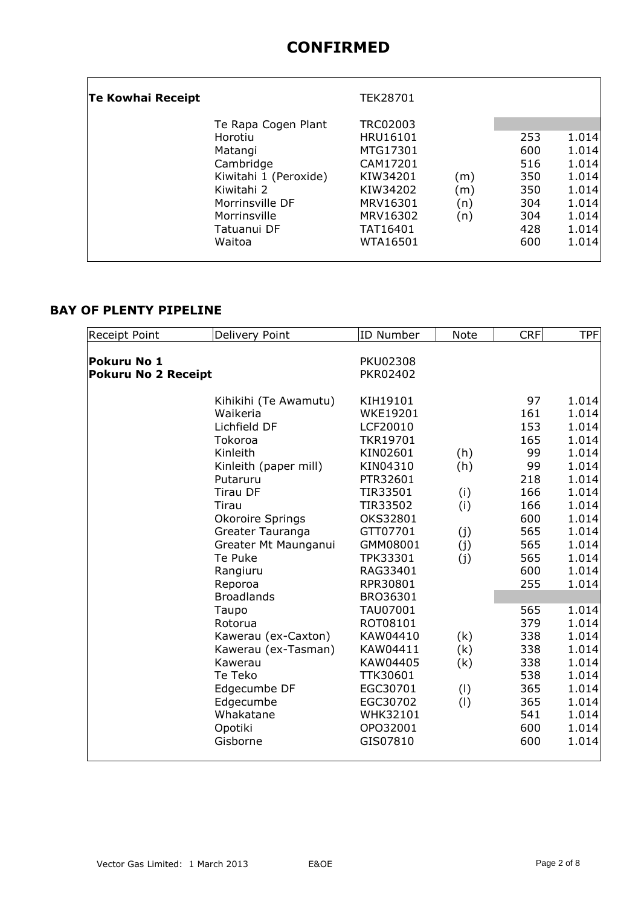|                                                                                                                                                 | TEK28701                                                                                                        |                          |                                                      |                                                                               |
|-------------------------------------------------------------------------------------------------------------------------------------------------|-----------------------------------------------------------------------------------------------------------------|--------------------------|------------------------------------------------------|-------------------------------------------------------------------------------|
| Te Rapa Cogen Plant<br>Horotiu<br>Matangi<br>Cambridge<br>Kiwitahi 1 (Peroxide)<br>Kiwitahi 2<br>Morrinsville DF<br>Morrinsville<br>Tatuanui DF | <b>TRC02003</b><br>HRU16101<br>MTG17301<br>CAM17201<br>KIW34201<br>KIW34202<br>MRV16301<br>MRV16302<br>TAT16401 | (m)<br>(m)<br>(n)<br>(n) | 253<br>600<br>516<br>350<br>350<br>304<br>304<br>428 | 1.014<br>1.014<br>1.014<br>1.014<br>1.014<br>1.014<br>1.014<br>1.014<br>1.014 |
|                                                                                                                                                 | Waitoa                                                                                                          | WTA16501                 |                                                      | 600                                                                           |

### **BAY OF PLENTY PIPELINE**

| Receipt Point              | Delivery Point        | <b>ID Number</b> | <b>Note</b> | <b>CRF</b> | <b>TPF</b> |
|----------------------------|-----------------------|------------------|-------------|------------|------------|
|                            |                       |                  |             |            |            |
| Pokuru No 1                |                       | <b>PKU02308</b>  |             |            |            |
| <b>Pokuru No 2 Receipt</b> |                       | PKR02402         |             |            |            |
|                            | Kihikihi (Te Awamutu) | KIH19101         |             | 97         | 1.014      |
|                            | Waikeria              | <b>WKE19201</b>  |             | 161        | 1.014      |
|                            | Lichfield DF          | LCF20010         |             | 153        | 1.014      |
|                            | Tokoroa               | <b>TKR19701</b>  |             | 165        | 1.014      |
|                            | Kinleith              | KIN02601         | (h)         | 99         | 1.014      |
|                            | Kinleith (paper mill) | KIN04310         | (h)         | 99         | 1.014      |
|                            | Putaruru              | PTR32601         |             | 218        | 1.014      |
|                            | <b>Tirau DF</b>       | TIR33501         | (i)         | 166        | 1.014      |
|                            | Tirau                 | TIR33502         | (i)         | 166        | 1.014      |
|                            | Okoroire Springs      | OKS32801         |             | 600        | 1.014      |
|                            | Greater Tauranga      | GTT07701         | (j)         | 565        | 1.014      |
|                            | Greater Mt Maunganui  | GMM08001         | (j)         | 565        | 1.014      |
|                            | Te Puke               | TPK33301         | (j)         | 565        | 1.014      |
|                            | Rangiuru              | RAG33401         |             | 600        | 1.014      |
|                            | Reporoa               | RPR30801         |             | 255        | 1.014      |
|                            | <b>Broadlands</b>     | BRO36301         |             |            |            |
|                            | Taupo                 | TAU07001         |             | 565        | 1.014      |
|                            | Rotorua               | ROT08101         |             | 379        | 1.014      |
|                            | Kawerau (ex-Caxton)   | KAW04410         | (k)         | 338        | 1.014      |
|                            | Kawerau (ex-Tasman)   | KAW04411         | (k)         | 338        | 1.014      |
|                            | Kawerau               | KAW04405         | (k)         | 338        | 1.014      |
|                            | Te Teko               | TTK30601         |             | 538        | 1.014      |
|                            | Edgecumbe DF          | EGC30701         | (1)         | 365        | 1.014      |
|                            | Edgecumbe             | EGC30702         | (1)         | 365        | 1.014      |
|                            | Whakatane             | WHK32101         |             | 541        | 1.014      |
|                            | Opotiki               | OPO32001         |             | 600        | 1.014      |
|                            | Gisborne              | GIS07810         |             | 600        | 1.014      |
|                            |                       |                  |             |            |            |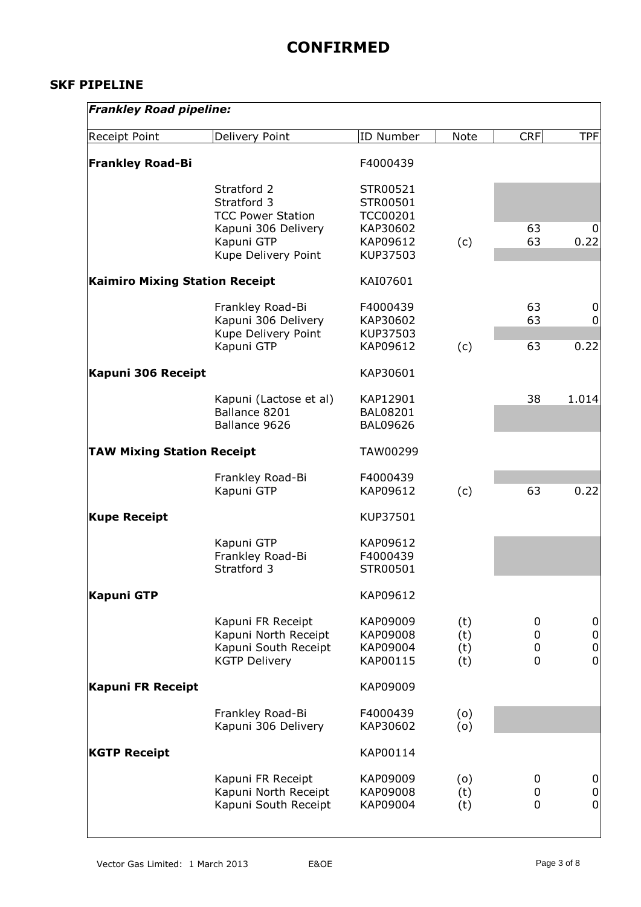#### **SKF PIPELINE**

| <b>Frankley Road pipeline:</b>        |                                                                                                                    |                                                                             |                          |                            |                                                      |
|---------------------------------------|--------------------------------------------------------------------------------------------------------------------|-----------------------------------------------------------------------------|--------------------------|----------------------------|------------------------------------------------------|
| Receipt Point                         | Delivery Point                                                                                                     | ID Number                                                                   | <b>Note</b>              | <b>CRF</b>                 | <b>TPF</b>                                           |
| <b>Frankley Road-Bi</b>               |                                                                                                                    | F4000439                                                                    |                          |                            |                                                      |
|                                       | Stratford 2<br>Stratford 3<br><b>TCC Power Station</b><br>Kapuni 306 Delivery<br>Kapuni GTP<br>Kupe Delivery Point | STR00521<br>STR00501<br><b>TCC00201</b><br>KAP30602<br>KAP09612<br>KUP37503 | (c)                      | 63<br>63                   | 0<br>0.22                                            |
| <b>Kaimiro Mixing Station Receipt</b> |                                                                                                                    | KAI07601                                                                    |                          |                            |                                                      |
|                                       | Frankley Road-Bi<br>Kapuni 306 Delivery<br>Kupe Delivery Point                                                     | F4000439<br>KAP30602<br>KUP37503                                            |                          | 63<br>63                   | 0<br>0<br>0.22                                       |
|                                       | Kapuni GTP                                                                                                         | KAP09612                                                                    | (c)                      | 63                         |                                                      |
| Kapuni 306 Receipt                    |                                                                                                                    | KAP30601                                                                    |                          |                            |                                                      |
|                                       | Kapuni (Lactose et al)<br>Ballance 8201<br>Ballance 9626                                                           | KAP12901<br><b>BAL08201</b><br><b>BAL09626</b>                              |                          | 38                         | 1.014                                                |
| <b>TAW Mixing Station Receipt</b>     |                                                                                                                    | TAW00299                                                                    |                          |                            |                                                      |
|                                       | Frankley Road-Bi<br>Kapuni GTP                                                                                     | F4000439<br>KAP09612                                                        | (c)                      | 63                         | 0.22                                                 |
| <b>Kupe Receipt</b>                   |                                                                                                                    | KUP37501                                                                    |                          |                            |                                                      |
|                                       | Kapuni GTP<br>Frankley Road-Bi<br>Stratford 3                                                                      | KAP09612<br>F4000439<br>STR00501                                            |                          |                            |                                                      |
| <b>Kapuni GTP</b>                     |                                                                                                                    | KAP09612                                                                    |                          |                            |                                                      |
|                                       | Kapuni FR Receipt<br>Kapuni North Receipt<br>Kapuni South Receipt<br><b>KGTP Delivery</b>                          | KAP09009<br>KAP09008<br>KAP09004<br>KAP00115                                | (t)<br>(t)<br>(t)<br>(t) | 0<br>0<br>0<br>$\mathbf 0$ | $\mathbf 0$<br>${\bf 0}$<br>$\pmb{0}$<br>$\mathbf 0$ |
| <b>Kapuni FR Receipt</b>              |                                                                                                                    | KAP09009                                                                    |                          |                            |                                                      |
|                                       | Frankley Road-Bi<br>Kapuni 306 Delivery                                                                            | F4000439<br>KAP30602                                                        | (0)<br>(o)               |                            |                                                      |
| <b>KGTP Receipt</b>                   |                                                                                                                    | KAP00114                                                                    |                          |                            |                                                      |
|                                       | Kapuni FR Receipt<br>Kapuni North Receipt<br>Kapuni South Receipt                                                  | KAP09009<br>KAP09008<br>KAP09004                                            | (0)<br>(t)<br>(t)        | 0<br>0<br>$\overline{0}$   | 0<br>0<br>$\mathbf 0$                                |

 $\overline{\phantom{a}}$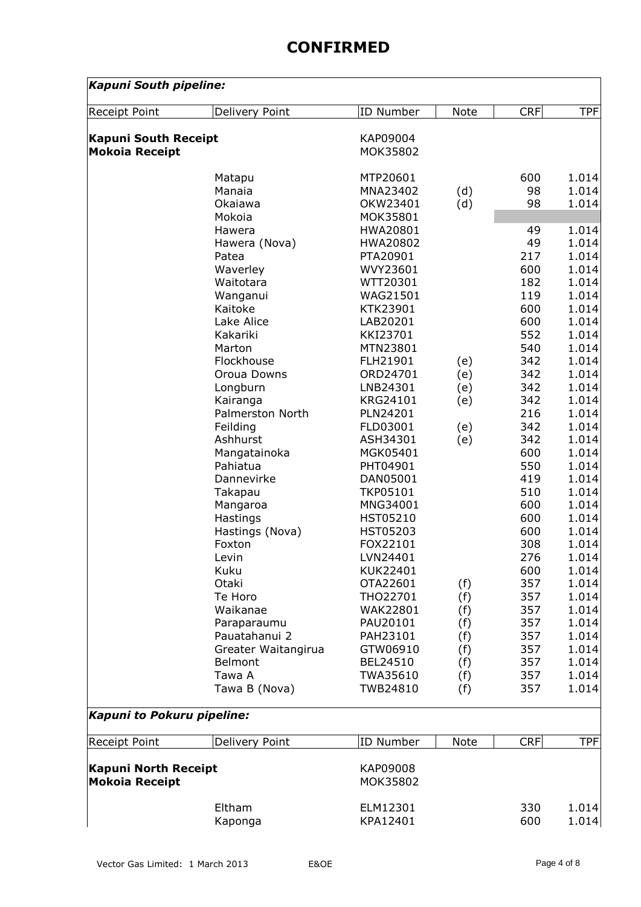| Kapuni South pipeline:      |                              |                      |             |            |                |
|-----------------------------|------------------------------|----------------------|-------------|------------|----------------|
| Receipt Point               | Delivery Point               | ID Number            | <b>Note</b> | <b>CRF</b> | <b>TPF</b>     |
| <b>Kapuni South Receipt</b> |                              | KAP09004             |             |            |                |
| <b>Mokoia Receipt</b>       |                              | MOK35802             |             |            |                |
|                             |                              |                      |             |            |                |
|                             | Matapu                       | MTP20601             |             | 600        | 1.014          |
|                             | Manaia                       | MNA23402             | (d)         | 98         | 1.014          |
|                             | Okaiawa                      | OKW23401             | (d)         | 98         | 1.014          |
|                             | Mokoia                       | MOK35801             |             |            |                |
|                             | Hawera                       | HWA20801             |             | 49         | 1.014          |
|                             | Hawera (Nova)                | HWA20802             |             | 49         | 1.014          |
|                             | Patea                        | PTA20901             |             | 217        | 1.014          |
|                             | Waverley                     | WVY23601             |             | 600        | 1.014          |
|                             | Waitotara                    | WTT20301             |             | 182        | 1.014          |
|                             | Wanganui                     | WAG21501             |             | 119        | 1.014          |
|                             | Kaitoke                      | KTK23901             |             | 600        | 1.014          |
|                             | Lake Alice                   | LAB20201             |             | 600        | 1.014          |
|                             | Kakariki                     | KKI23701             |             | 552        | 1.014          |
|                             | Marton                       | MTN23801             |             | 540        | 1.014          |
|                             | Flockhouse                   | FLH21901             | (e)         | 342        | 1.014          |
|                             | Oroua Downs                  | ORD24701             | (e)         | 342        | 1.014          |
|                             | Longburn                     | LNB24301             | (e)         | 342        | 1.014          |
|                             | Kairanga<br>Palmerston North | KRG24101             | (e)         | 342<br>216 | 1.014<br>1.014 |
|                             |                              | PLN24201             |             | 342        | 1.014          |
|                             | Feilding<br>Ashhurst         | FLD03001<br>ASH34301 | (e)<br>(e)  | 342        | 1.014          |
|                             | Mangatainoka                 | MGK05401             |             | 600        | 1.014          |
|                             | Pahiatua                     | PHT04901             |             | 550        | 1.014          |
|                             | Dannevirke                   | DAN05001             |             | 419        | 1.014          |
|                             | Takapau                      | TKP05101             |             | 510        | 1.014          |
|                             | Mangaroa                     | MNG34001             |             | 600        | 1.014          |
|                             | Hastings                     | HST05210             |             | 600        | 1.014          |
|                             | Hastings (Nova)              | HST05203             |             | 600        | 1.014          |
|                             | Foxton                       | FOX22101             |             | 308        | 1.014          |
|                             | Levin                        | LVN24401             |             | 276        | 1.014          |
|                             | Kuku                         | KUK22401             |             | 600        | 1.014          |
|                             | Otaki                        | OTA22601             | (f)         | 357        | 1.014          |
|                             | Te Horo                      | THO22701             | (f)         | 357        | 1.014          |
|                             | Waikanae                     | WAK22801             | (f)         | 357        | 1.014          |
|                             | Paraparaumu                  | PAU20101             | (f)         | 357        | 1.014          |
|                             | Pauatahanui 2                | PAH23101             | (f)         | 357        | 1.014          |
|                             | Greater Waitangirua          | GTW06910             | (f)         | 357        | 1.014          |
|                             | Belmont                      | BEL24510             | (f)         | 357        | 1.014          |
|                             | Tawa A                       | TWA35610             | (f)         | 357        | 1.014          |
|                             | Tawa B (Nova)                | TWB24810             | (f)         | 357        | 1.014          |
| Kapuni to Pokuru pipeline:  |                              |                      |             |            |                |
| Receipt Point               | Delivery Point               | ID Number            | Note        | <b>CRF</b> | <b>TPF</b>     |
| <b>Kapuni North Receipt</b> |                              | KAP09008             |             |            |                |
| <b>Mokoia Receipt</b>       |                              | MOK35802             |             |            |                |
|                             | Eltham                       | ELM12301             |             | 330        | 1.014          |
|                             | Kaponga                      | KPA12401             |             | 600        | 1.014          |
|                             |                              |                      |             |            |                |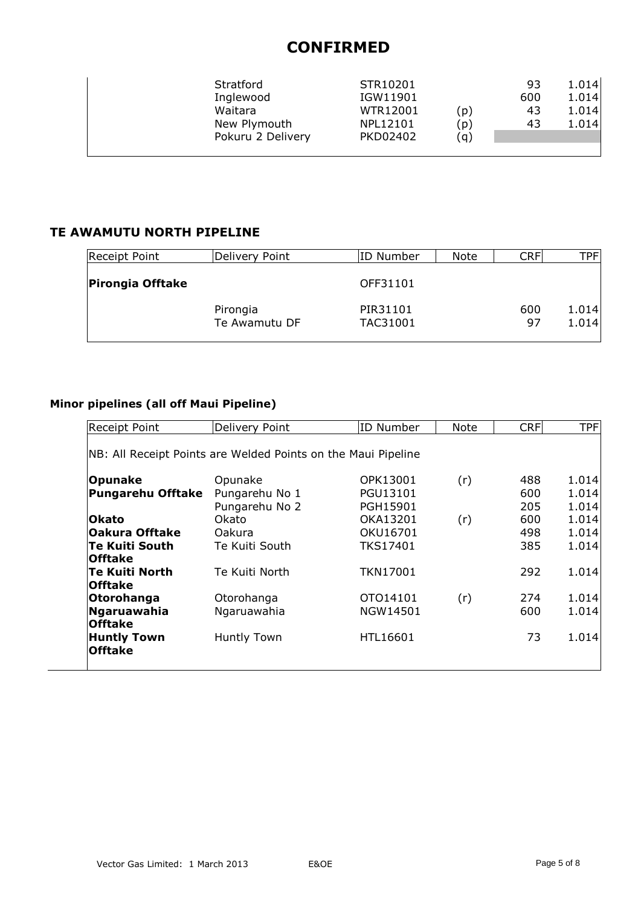| Stratford<br>Inglewood  | STR10201<br>IGW11901 |            | 93<br>600 | 1.014<br>1.014 |
|-------------------------|----------------------|------------|-----------|----------------|
| Waitara<br>New Plymouth | WTR12001<br>NPL12101 | (p)<br>(p) | 43<br>43  | 1.014<br>1.014 |
| Pokuru 2 Delivery       | PKD02402             | (g)        |           |                |

### **TE AWAMUTU NORTH PIPELINE**

| <b>Receipt Point</b>    | Delivery Point | ID Number | Note | CRF | TPFI  |
|-------------------------|----------------|-----------|------|-----|-------|
| <b>Pirongia Offtake</b> |                | OFF31101  |      |     |       |
|                         | Pirongia       | PIR31101  |      | 600 | 1.014 |
|                         | Te Awamutu DF  | TAC31001  |      | 97  | 1.014 |

#### **Minor pipelines (all off Maui Pipeline)**

| <b>Receipt Point</b>                                          | Delivery Point | ID Number       | Note | <b>CRF</b> | <b>TPF</b> |  |  |
|---------------------------------------------------------------|----------------|-----------------|------|------------|------------|--|--|
| NB: All Receipt Points are Welded Points on the Maui Pipeline |                |                 |      |            |            |  |  |
| <b>Opunake</b>                                                | Opunake        | OPK13001        | (r)  | 488        | 1.014      |  |  |
| <b>Pungarehu Offtake</b>                                      | Pungarehu No 1 | PGU13101        |      | 600        | 1.014      |  |  |
|                                                               | Pungarehu No 2 | PGH15901        |      | 205        | 1.014      |  |  |
| <b>Okato</b>                                                  | Okato          | OKA13201        | (r)  | 600        | 1.014      |  |  |
| <b>Oakura Offtake</b>                                         | Oakura         | OKU16701        |      | 498        | 1.014      |  |  |
| <b>Te Kuiti South</b>                                         | Te Kuiti South | <b>TKS17401</b> |      | 385        | 1.014      |  |  |
| <b>Offtake</b>                                                |                |                 |      |            |            |  |  |
| <b>Te Kuiti North</b>                                         | Te Kuiti North | TKN17001        |      | 292        | 1.014      |  |  |
| <b>Offtake</b>                                                |                |                 |      |            |            |  |  |
| Otorohanga                                                    | Otorohanga     | OTO14101        | (r)  | 274        | 1.014      |  |  |
| Ngaruawahia                                                   | Ngaruawahia    | NGW14501        |      | 600        | 1.014      |  |  |
| <b>Offtake</b>                                                |                |                 |      |            |            |  |  |
| <b>Huntly Town</b>                                            | Huntly Town    | HTL16601        |      | 73         | 1.014      |  |  |
| <b>Offtake</b>                                                |                |                 |      |            |            |  |  |
|                                                               |                |                 |      |            |            |  |  |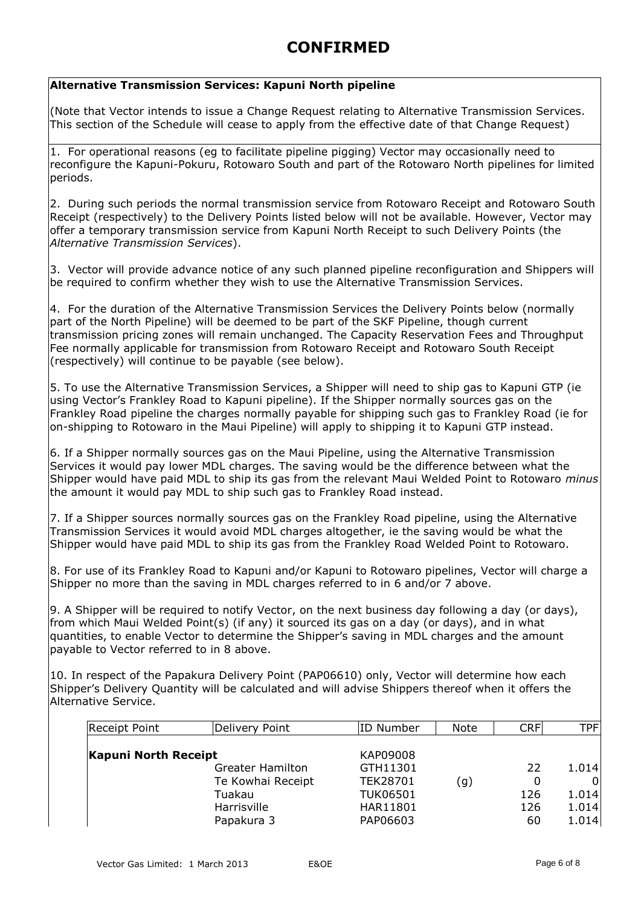#### **Alternative Transmission Services: Kapuni North pipeline**

(Note that Vector intends to issue a Change Request relating to Alternative Transmission Services. This section of the Schedule will cease to apply from the effective date of that Change Request)

1. For operational reasons (eg to facilitate pipeline pigging) Vector may occasionally need to reconfigure the Kapuni-Pokuru, Rotowaro South and part of the Rotowaro North pipelines for limited periods.

2. During such periods the normal transmission service from Rotowaro Receipt and Rotowaro South Receipt (respectively) to the Delivery Points listed below will not be available. However, Vector may offer a temporary transmission service from Kapuni North Receipt to such Delivery Points (the *Alternative Transmission Services*).

3. Vector will provide advance notice of any such planned pipeline reconfiguration and Shippers will be required to confirm whether they wish to use the Alternative Transmission Services.

4. For the duration of the Alternative Transmission Services the Delivery Points below (normally part of the North Pipeline) will be deemed to be part of the SKF Pipeline, though current transmission pricing zones will remain unchanged. The Capacity Reservation Fees and Throughput Fee normally applicable for transmission from Rotowaro Receipt and Rotowaro South Receipt (respectively) will continue to be payable (see below).

5. To use the Alternative Transmission Services, a Shipper will need to ship gas to Kapuni GTP (ie using Vector's Frankley Road to Kapuni pipeline). If the Shipper normally sources gas on the Frankley Road pipeline the charges normally payable for shipping such gas to Frankley Road (ie for on-shipping to Rotowaro in the Maui Pipeline) will apply to shipping it to Kapuni GTP instead.

6. If a Shipper normally sources gas on the Maui Pipeline, using the Alternative Transmission Services it would pay lower MDL charges. The saving would be the difference between what the Shipper would have paid MDL to ship its gas from the relevant Maui Welded Point to Rotowaro *minus* the amount it would pay MDL to ship such gas to Frankley Road instead.

7. If a Shipper sources normally sources gas on the Frankley Road pipeline, using the Alternative Transmission Services it would avoid MDL charges altogether, ie the saving would be what the Shipper would have paid MDL to ship its gas from the Frankley Road Welded Point to Rotowaro.

8. For use of its Frankley Road to Kapuni and/or Kapuni to Rotowaro pipelines, Vector will charge a Shipper no more than the saving in MDL charges referred to in 6 and/or 7 above.

9. A Shipper will be required to notify Vector, on the next business day following a day (or days), from which Maui Welded Point(s) (if any) it sourced its gas on a day (or days), and in what quantities, to enable Vector to determine the Shipper's saving in MDL charges and the amount payable to Vector referred to in 8 above.

10. In respect of the Papakura Delivery Point (PAP06610) only, Vector will determine how each Shipper's Delivery Quantity will be calculated and will advise Shippers thereof when it offers the Alternative Service.

| Receipt Point        | Delivery Point          | ID Number       | <b>Note</b> | <b>CRF</b> | TPF   |
|----------------------|-------------------------|-----------------|-------------|------------|-------|
| Kapuni North Receipt |                         | KAP09008        |             |            |       |
|                      | <b>Greater Hamilton</b> | GTH11301        |             | 22         | 1.014 |
|                      | Te Kowhai Receipt       | <b>TEK28701</b> | (g)         | 0          | 01    |
|                      | Tuakau                  | <b>TUK06501</b> |             | 126        | 1.014 |
|                      | Harrisville             | HAR11801        |             | 126        | 1.014 |
|                      | Papakura 3              | PAP06603        |             | 60         | 1.014 |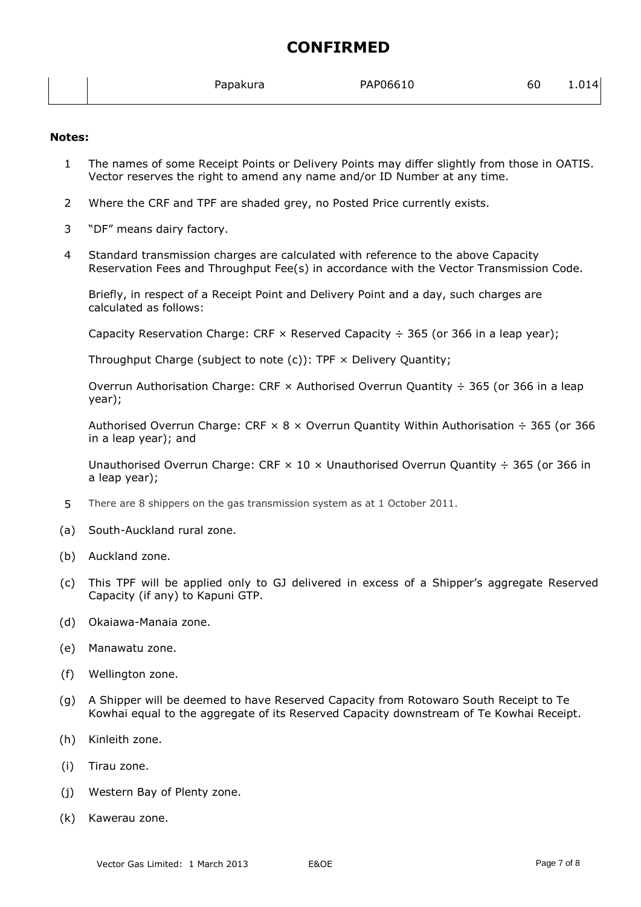|  |  | Papakura | PAP06610<br>60 | 1.014 |
|--|--|----------|----------------|-------|
|--|--|----------|----------------|-------|

#### **Notes:**

- 1 The names of some Receipt Points or Delivery Points may differ slightly from those in OATIS. Vector reserves the right to amend any name and/or ID Number at any time.
- 2 Where the CRF and TPF are shaded grey, no Posted Price currently exists.
- 3 "DF" means dairy factory.
- 4 Standard transmission charges are calculated with reference to the above Capacity Reservation Fees and Throughput Fee(s) in accordance with the Vector Transmission Code.

Briefly, in respect of a Receipt Point and Delivery Point and a day, such charges are calculated as follows:

Capacity Reservation Charge: CRF  $\times$  Reserved Capacity  $\div$  365 (or 366 in a leap year);

Throughput Charge (subject to note  $(c)$ ): TPF  $\times$  Delivery Quantity;

Overrun Authorisation Charge: CRF  $\times$  Authorised Overrun Quantity  $\div$  365 (or 366 in a leap year);

Authorised Overrun Charge: CRF  $\times$  8  $\times$  Overrun Quantity Within Authorisation  $\div$  365 (or 366 in a leap year); and

Unauthorised Overrun Charge: CRF  $\times$  10  $\times$  Unauthorised Overrun Quantity  $\div$  365 (or 366 in a leap year);

- 5 There are 8 shippers on the gas transmission system as at 1 October 2011.
- (a) South-Auckland rural zone.
- (b) Auckland zone.
- (c) This TPF will be applied only to GJ delivered in excess of a Shipper's aggregate Reserved Capacity (if any) to Kapuni GTP.
- (d) Okaiawa-Manaia zone.
- (e) Manawatu zone.
- (f) Wellington zone.
- (g) A Shipper will be deemed to have Reserved Capacity from Rotowaro South Receipt to Te Kowhai equal to the aggregate of its Reserved Capacity downstream of Te Kowhai Receipt.
- (h) Kinleith zone.
- (i) Tirau zone.
- (j) Western Bay of Plenty zone.
- (k) Kawerau zone.